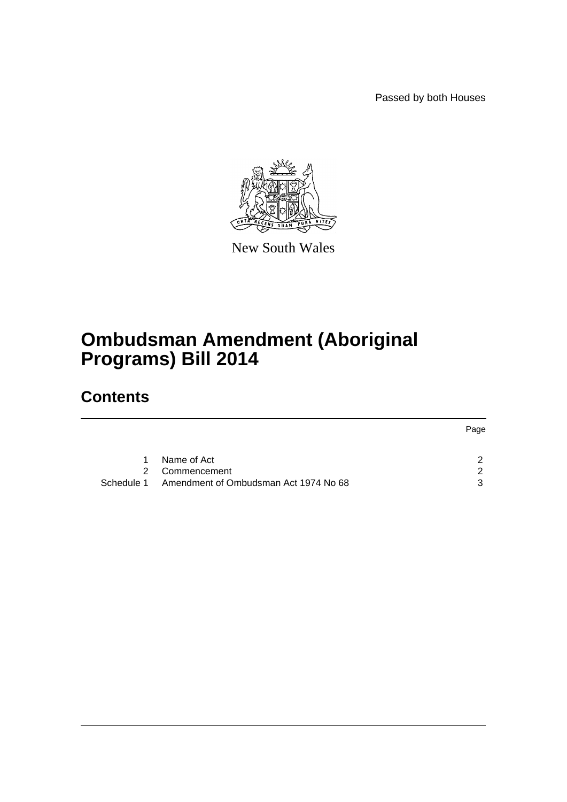Passed by both Houses



New South Wales

# **Ombudsman Amendment (Aboriginal Programs) Bill 2014**

## **Contents**

|            |                                       | Page |
|------------|---------------------------------------|------|
|            |                                       |      |
| 1          | Name of Act                           |      |
|            | 2 Commencement                        | ົ    |
| Schedule 1 | Amendment of Ombudsman Act 1974 No 68 | ્ર   |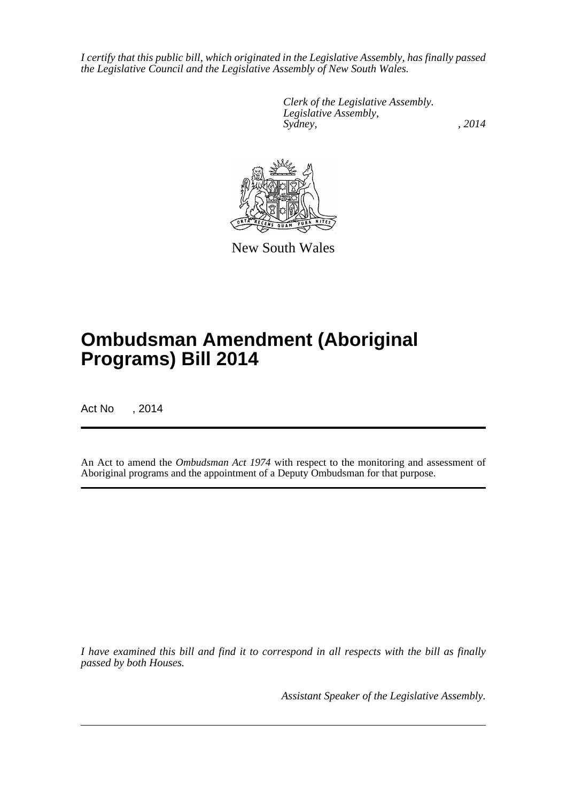*I certify that this public bill, which originated in the Legislative Assembly, has finally passed the Legislative Council and the Legislative Assembly of New South Wales.*

> *Clerk of the Legislative Assembly. Legislative Assembly, Sydney,* , 2014



New South Wales

# **Ombudsman Amendment (Aboriginal Programs) Bill 2014**

Act No , 2014

An Act to amend the *Ombudsman Act 1974* with respect to the monitoring and assessment of Aboriginal programs and the appointment of a Deputy Ombudsman for that purpose.

*I have examined this bill and find it to correspond in all respects with the bill as finally passed by both Houses.*

*Assistant Speaker of the Legislative Assembly.*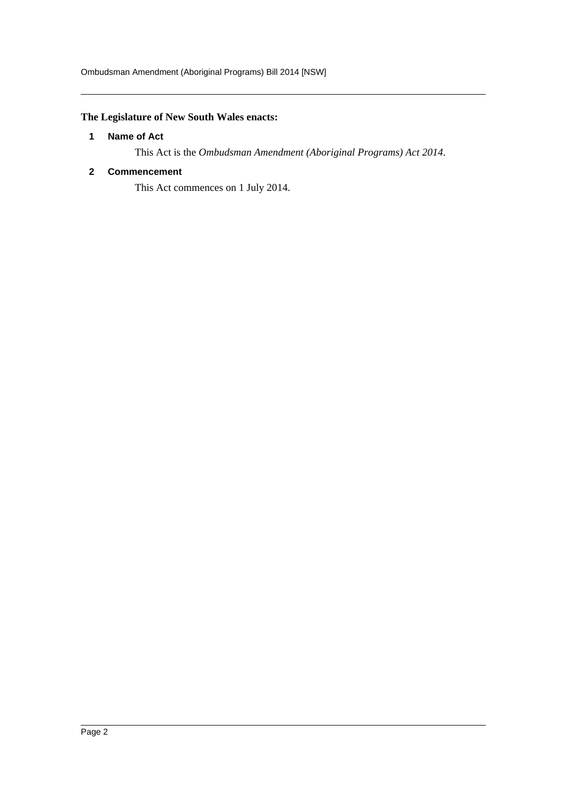### <span id="page-2-0"></span>**The Legislature of New South Wales enacts:**

#### **1 Name of Act**

This Act is the *Ombudsman Amendment (Aboriginal Programs) Act 2014*.

#### <span id="page-2-1"></span>**2 Commencement**

This Act commences on 1 July 2014.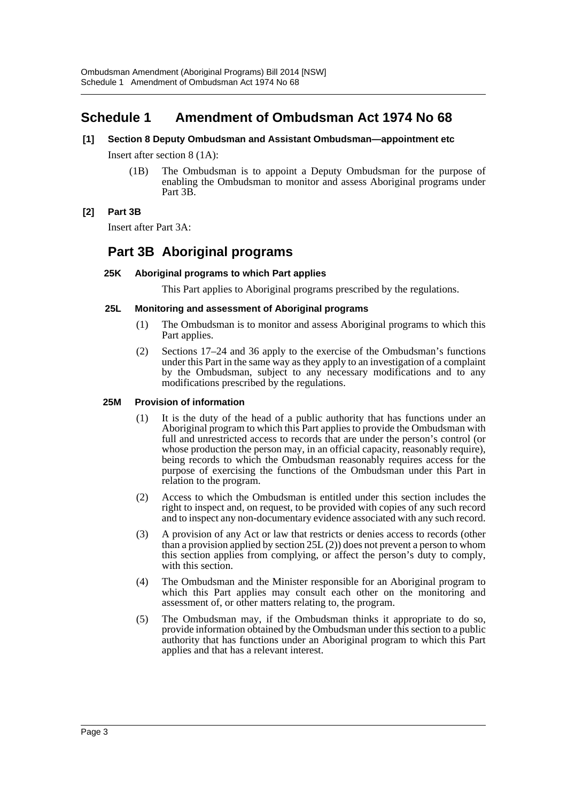### <span id="page-3-0"></span>**Schedule 1 Amendment of Ombudsman Act 1974 No 68**

#### **[1] Section 8 Deputy Ombudsman and Assistant Ombudsman—appointment etc**

Insert after section 8 (1A):

(1B) The Ombudsman is to appoint a Deputy Ombudsman for the purpose of enabling the Ombudsman to monitor and assess Aboriginal programs under Part 3B.

#### **[2] Part 3B**

Insert after Part 3A:

### **Part 3B Aboriginal programs**

#### **25K Aboriginal programs to which Part applies**

This Part applies to Aboriginal programs prescribed by the regulations.

#### **25L Monitoring and assessment of Aboriginal programs**

- (1) The Ombudsman is to monitor and assess Aboriginal programs to which this Part applies.
- (2) Sections 17–24 and 36 apply to the exercise of the Ombudsman's functions under this Part in the same way as they apply to an investigation of a complaint by the Ombudsman, subject to any necessary modifications and to any modifications prescribed by the regulations.

#### **25M Provision of information**

- (1) It is the duty of the head of a public authority that has functions under an Aboriginal program to which this Part applies to provide the Ombudsman with full and unrestricted access to records that are under the person's control (or whose production the person may, in an official capacity, reasonably require), being records to which the Ombudsman reasonably requires access for the purpose of exercising the functions of the Ombudsman under this Part in relation to the program.
- (2) Access to which the Ombudsman is entitled under this section includes the right to inspect and, on request, to be provided with copies of any such record and to inspect any non-documentary evidence associated with any such record.
- (3) A provision of any Act or law that restricts or denies access to records (other than a provision applied by section 25L (2)) does not prevent a person to whom this section applies from complying, or affect the person's duty to comply, with this section.
- (4) The Ombudsman and the Minister responsible for an Aboriginal program to which this Part applies may consult each other on the monitoring and assessment of, or other matters relating to, the program.
- (5) The Ombudsman may, if the Ombudsman thinks it appropriate to do so, provide information obtained by the Ombudsman under this section to a public authority that has functions under an Aboriginal program to which this Part applies and that has a relevant interest.